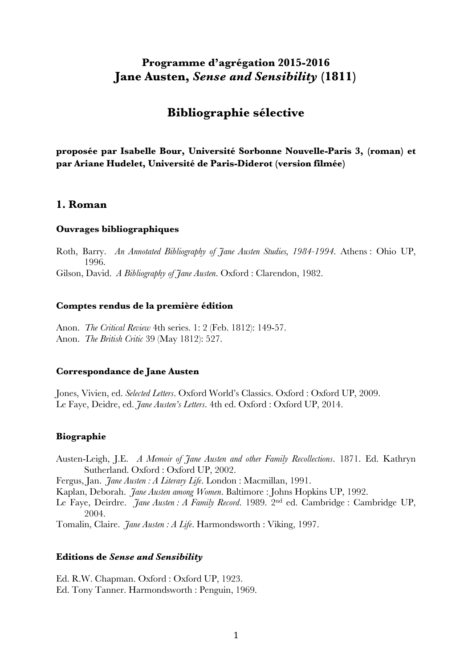# **Programme d'agrégation 2015-2016 Jane Austen,** *Sense and Sensibility* **(1811)**

# **Bibliographie sélective**

**proposée par Isabelle Bour, Université Sorbonne Nouvelle-Paris 3, (roman) et par Ariane Hudelet, Université de Paris-Diderot (version filmée)**

# **1. Roman**

#### **Ouvrages bibliographiques**

Roth, Barry. *An Annotated Bibliography of Jane Austen Studies, 1984-1994*. Athens : Ohio UP, 1996.

Gilson, David. *A Bibliography of Jane Austen*. Oxford : Clarendon, 1982.

#### **Comptes rendus de la première édition**

Anon. *The Critical Review* 4th series. 1: 2 (Feb. 1812): 149-57. Anon. *The British Critic* 39 (May 1812): 527.

## **Correspondance de Jane Austen**

Jones, Vivien, ed. *Selected Letters*. Oxford World's Classics. Oxford : Oxford UP, 2009. Le Faye, Deidre, ed. *Jane Austen's Letters*. 4th ed. Oxford : Oxford UP, 2014.

## **Biographie**

Austen-Leigh, J.E. *A Memoir of Jane Austen and other Family Recollections*. 1871. Ed. Kathryn Sutherland. Oxford : Oxford UP, 2002.

Fergus, Jan. *Jane Austen : A Literary Life*. London : Macmillan, 1991.

Kaplan, Deborah. *Jane Austen among Women*. Baltimore : Johns Hopkins UP, 1992.

Le Faye, Deirdre. *Jane Austen : A Family Record*. 1989. 2nd ed. Cambridge : Cambridge UP, 2004.

Tomalin, Claire. *Jane Austen : A Life*. Harmondsworth : Viking, 1997.

### **Editions de** *Sense and Sensibility*

Ed. R.W. Chapman. Oxford : Oxford UP, 1923. Ed. Tony Tanner. Harmondsworth : Penguin, 1969.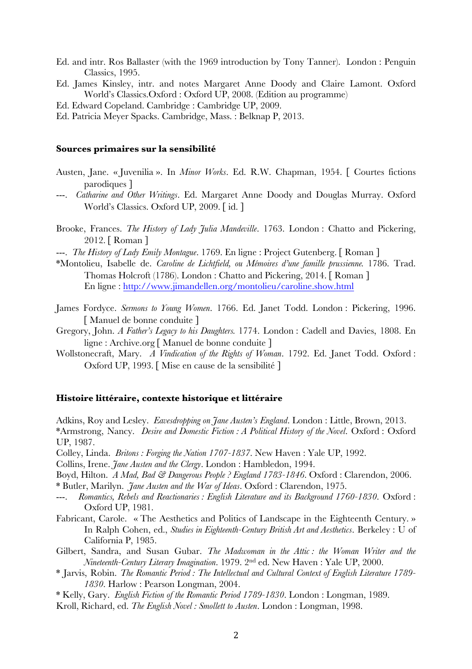- Ed. and intr. Ros Ballaster (with the 1969 introduction by Tony Tanner). London : Penguin Classics, 1995.
- Ed. James Kinsley, intr. and notes Margaret Anne Doody and Claire Lamont. Oxford World's Classics.Oxford : Oxford UP, 2008. (Edition au programme)
- Ed. Edward Copeland. Cambridge : Cambridge UP, 2009.
- Ed. Patricia Meyer Spacks. Cambridge, Mass. : Belknap P, 2013.

#### **Sources primaires sur la sensibilité**

- Austen, Jane. « Juvenilia ». In *Minor Works*. Ed. R.W. Chapman, 1954. [ Courtes fictions parodiques ]
- ---. *Catharine and Other Writings*. Ed. Margaret Anne Doody and Douglas Murray. Oxford World's Classics. Oxford UP, 2009. [ id. ]
- Brooke, Frances. *The History of Lady Julia Mandeville*. 1763. London : Chatto and Pickering, 2012. [ Roman ]
- ---. *The History of Lady Emily Montague*. 1769. En ligne : Project Gutenberg. [ Roman ]
- \*Montolieu, Isabelle de. *Caroline de Lichtfield, ou Mémoires d'une famille prussienne.* 1786. Trad. Thomas Holcroft (1786). London : Chatto and Pickering, 2014. [ Roman ] En ligne : http://www.jimandellen.org/montolieu/caroline.show.html
- James Fordyce. *Sermons to Young Women*. 1766. Ed. Janet Todd. London : Pickering, 1996. [ Manuel de bonne conduite ]
- Gregory, John. *A Father's Legacy to his Daughters.* 1774. London : Cadell and Davies, 1808. En ligne : Archive.org [ Manuel de bonne conduite ]
- Wollstonecraft, Mary. *A Vindication of the Rights of Woman*. 1792. Ed. Janet Todd. Oxford : Oxford UP, 1993. [ Mise en cause de la sensibilité ]

#### **Histoire littéraire, contexte historique et littéraire**

Adkins, Roy and Lesley. *Eavesdropping on Jane Austen's England*. London : Little, Brown, 2013. \*Armstrong, Nancy. *Desire and Domestic Fiction : A Political History of the Novel*. Oxford : Oxford UP, 1987.

Colley, Linda. *Britons : Forging the Nation 1707-1837*. New Haven : Yale UP, 1992.

Collins, Irene. *Jane Austen and the Clergy*. London : Hambledon, 1994.

Boyd, Hilton. *A Mad, Bad & Dangerous People ? England 1783-1846*. Oxford : Clarendon, 2006. \* Butler, Marilyn. *Jane Austen and the War of Ideas*. Oxford : Clarendon, 1975.

- ---. *Romantics, Rebels and Reactionaries : English Literature and its Background 1760-1830*. Oxford : Oxford UP, 1981.
- Fabricant, Carole. « The Aesthetics and Politics of Landscape in the Eighteenth Century. » In Ralph Cohen, ed., *Studies in Eighteenth-Century British Art and Aesthetics*. Berkeley : U of California P, 1985.
- Gilbert, Sandra, and Susan Gubar. *The Madwoman in the Attic : the Woman Writer and the Nineteenth-Century Literary Imagination*. 1979. 2nd ed. New Haven : Yale UP, 2000.
- \* Jarvis, Robin. *The Romantic Period : The Intellectual and Cultural Context of English Literature 1789- 1830*. Harlow : Pearson Longman, 2004.
- \* Kelly, Gary. *English Fiction of the Romantic Period 1789-1830*. London : Longman, 1989.
- Kroll, Richard, ed. *The English Novel : Smollett to Austen*. London : Longman, 1998.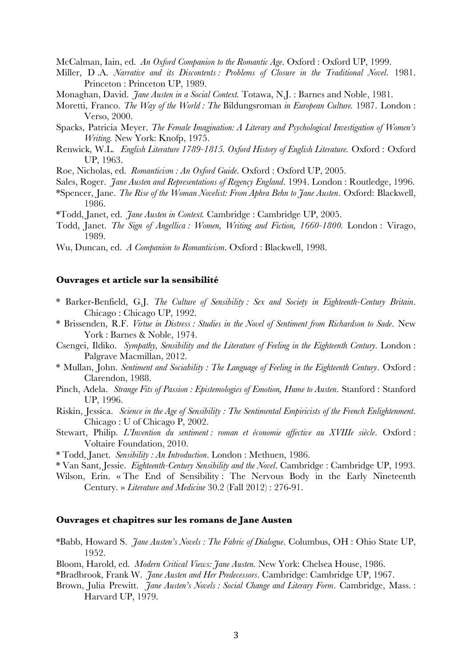McCalman, Iain, ed. *An Oxford Companion to the Romantic Age*. Oxford : Oxford UP, 1999.

- Miller, D .A. *Narrative and its Discontents : Problems of Closure in the Traditional Novel*. 1981. Princeton : Princeton UP, 1989.
- Monaghan, David. *Jane Austen in a Social Context.* Totawa, N.J. : Barnes and Noble, 1981.
- Moretti, Franco. *The Way of the World : The* Bildungsroman *in European Culture.* 1987. London : Verso, 2000.
- Spacks, Patricia Meyer. *The Female Imagination: A Literary and Psychological Investigation of Women's Writing.* New York: Knofp, 1975.
- Renwick, W.L. *English Literature 1789-1815. Oxford History of English Literature.* Oxford : Oxford UP, 1963.
- Roe, Nicholas, ed. *Romanticism : An Oxford Guide*. Oxford : Oxford UP, 2005.
- Sales, Roger. *Jane Austen and Representations of Regency England*. 1994. London : Routledge, 1996.
- \*Spencer, Jane. *The Rise of the Woman Novelist: From Aphra Behn to Jane Austen*. Oxford: Blackwell, 1986.
- \*Todd, Janet, ed. *Jane Austen in Context.* Cambridge : Cambridge UP, 2005.
- Todd, Janet. *The Sign of Angellica : Women, Writing and Fiction, 1660-1800.* London : Virago, 1989.
- Wu, Duncan, ed. *A Companion to Romanticism*. Oxford : Blackwell, 1998.

#### **Ouvrages et article sur la sensibilité**

- \* Barker-Benfield, G.J. *The Culture of Sensibility : Sex and Society in Eighteenth-Century Britain*. Chicago : Chicago UP, 1992.
- \* Brissenden, R.F. *Virtue in Distress : Studies in the Novel of Sentiment from Richardson to Sade*. New York : Barnes & Noble, 1974.
- Csengei, Ildiko. *Sympathy, Sensibility and the Literature of Feeling in the Eighteenth Century.* London : Palgrave Macmillan, 2012.
- \* Mullan, John. *Sentiment and Sociability : The Language of Feeling in the Eighteenth Century*. Oxford : Clarendon, 1988.
- Pinch, Adela. *Strange Fits of Passion : Epistemologies of Emotion, Hume to Austen*. Stanford : Stanford UP, 1996.
- Riskin, Jessica. *Science in the Age of Sensibility : The Sentimental Empiricists of the French Enlightenment*. Chicago : U of Chicago P, 2002.
- Stewart, Philip. *L'Invention du sentiment : roman et économie affective au XVIIIe siècle*. Oxford : Voltaire Foundation, 2010.
- \* Todd, Janet. *Sensibility : An Introduction*. London : Methuen, 1986.
- \* Van Sant, Jessie. *Eighteenth-Century Sensibility and the Novel*. Cambridge : Cambridge UP, 1993.
- Wilson, Erin. « The End of Sensibility : The Nervous Body in the Early Nineteenth Century. » *Literature and Medicine* 30.2 (Fall 2012) : 276-91.

### **Ouvrages et chapitres sur les romans de Jane Austen**

- \*Babb, Howard S. *Jane Austen's Novels : The Fabric of Dialogue*. Columbus, OH : Ohio State UP, 1952.
- Bloom, Harold, ed. *Modern Critical Views: Jane Austen.* New York: Chelsea House, 1986.
- \*Bradbrook, Frank W. *Jane Austen and Her Predecessors*. Cambridge: Cambridge UP, 1967.
- Brown, Julia Prewitt. *Jane Austen's Novels : Social Change and Literary Form*. Cambridge, Mass. : Harvard UP, 1979.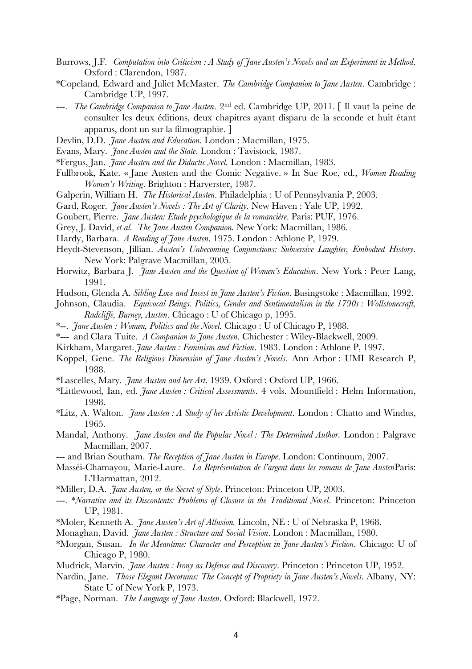- Burrows, J.F. *Computation into Criticism : A Study of Jane Austen's Novels and an Experiment in Method*. Oxford : Clarendon, 1987.
- \*Copeland, Edward and Juliet McMaster. *The Cambridge Companion to Jane Austen*. Cambridge : Cambridge UP, 1997.
- ---. *The Cambridge Companion to Jane Austen*. 2nd ed. Cambridge UP, 2011. [ Il vaut la peine de consulter les deux éditions, deux chapitres ayant disparu de la seconde et huit étant apparus, dont un sur la filmographie. ]
- Devlin, D.D. *Jane Austen and Education*. London : Macmillan, 1975.
- Evans, Mary. *Jane Austen and the State*. London : Tavistock, 1987.
- \*Fergus, Jan. *Jane Austen and the Didactic Novel.* London : Macmillan, 1983.
- Fullbrook, Kate. « Jane Austen and the Comic Negative. » In Sue Roe, ed., *Women Reading Women's Writing*. Brighton : Harverster, 1987.
- Galperin, William H. *The Historical Austen*. Philadelphia : U of Pennsylvania P, 2003.
- Gard, Roger. *Jane Austen's Novels : The Art of Clarity.* New Haven : Yale UP, 1992.
- Goubert, Pierre. *Jane Austen: Etude psychologique de la romancière*. Paris: PUF, 1976.
- Grey, J. David, *et al. The Jane Austen Companion.* New York: Macmillan, 1986.
- Hardy, Barbara. *A Reading of Jane Austen*. 1975. London : Athlone P, 1979.
- Heydt-Stevenson, Jillian. *Austen's Unbecoming Conjunctions: Subversive Laughter, Embodied History*. New York: Palgrave Macmillan, 2005.
- Horwitz, Barbara J. *Jane Austen and the Question of Women's Education*. New York : Peter Lang, 1991.
- Hudson, Glenda A. *Sibling Love and Incest in Jane Austen's Fiction*. Basingstoke : Macmillan, 1992.
- Johnson, Claudia. *Equivocal Beings. Politics, Gender and Sentimentalism in the 1790s : Wollstonecraft, Radcliffe, Burney, Austen*. Chicago : U of Chicago p, 1995.
- \*--. *Jane Austen : Women, Politics and the Novel.* Chicago : U of Chicago P, 1988.
- \*--- and Clara Tuite. *A Companion to Jane Austen*. Chichester : Wiley-Blackwell, 2009.
- Kirkham, Margaret. *Jane Austen : Feminism and Fiction*. 1983. London : Athlone P, 1997.
- Koppel, Gene. *The Religious Dimension of Jane Austen's Novels*. Ann Arbor : UMI Research P, 1988.
- \*Lascelles, Mary. *Jane Austen and her Art*. 1939. Oxford : Oxford UP, 1966.
- \*Littlewood, Ian, ed. *Jane Austen : Critical Assessments*. 4 vols. Mountfield : Helm Information, 1998.
- \*Litz, A. Walton. *Jane Austen : A Study of her Artistic Development*. London : Chatto and Windus, 1965.
- Mandal, Anthony. *Jane Austen and the Popular Novel : The Determined Author*. London : Palgrave Macmillan, 2007.
- --- and Brian Southam. *The Reception of Jane Austen in Europe*. London: Continuum, 2007.
- Masséi-Chamayou, Marie-Laure. *La Représentation de l'argent dans les romans de Jane Austen*Paris: L'Harmattan, 2012.
- \*Miller, D.A. *Jane Austen, or the Secret of Style*. Princeton: Princeton UP, 2003.
- ---. \**Narrative and its Discontents: Problems of Closure in the Traditional Novel*. Princeton: Princeton UP, 1981.
- \*Moler, Kenneth A. *Jane Austen's Art of Allusion.* Lincoln, NE : U of Nebraska P, 1968.
- Monaghan, David. *Jane Austen : Structure and Social Vision*. London : Macmillan, 1980.
- \*Morgan, Susan. *In the Meantime: Character and Perception in Jane Austen's Fiction*. Chicago: U of Chicago P, 1980.
- Mudrick, Marvin. *Jane Austen : Irony as Defense and Discovery*. Princeton : Princeton UP, 1952.
- Nardin, Jane. *Those Elegant Decorums: The Concept of Propriety in Jane Austen's Novels.* Albany, NY: State U of New York P, 1973.
- \*Page, Norman. *The Language of Jane Austen*. Oxford: Blackwell, 1972.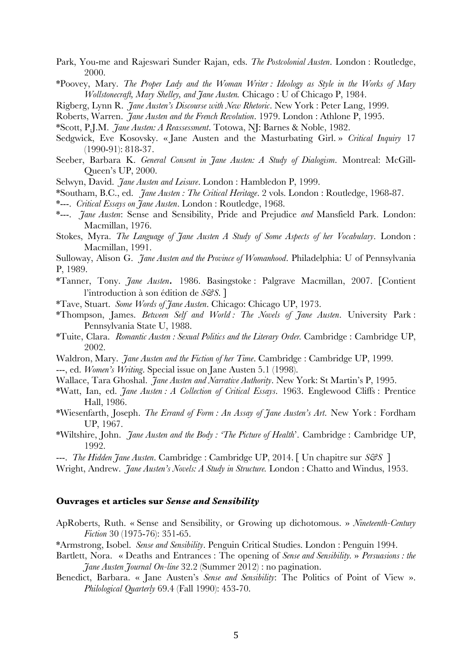- Park, You-me and Rajeswari Sunder Rajan, eds. *The Postcolonial Austen*. London : Routledge, 2000.
- \*Poovey, Mary. *The Proper Lady and the Woman Writer : Ideology as Style in the Works of Mary Wollstonecraft, Mary Shelley, and Jane Austen.* Chicago : U of Chicago P, 1984.
- Rigberg, Lynn R. *Jane Austen's Discourse with New Rhetoric*. New York : Peter Lang, 1999.
- Roberts, Warren. *Jane Austen and the French Revolution*. 1979. London : Athlone P, 1995.
- \*Scott, P.J.M. *Jane Austen: A Reassessment*. Totowa, NJ: Barnes & Noble, 1982.
- Sedgwick, Eve Kosovsky. « Jane Austen and the Masturbating Girl. » *Critical Inquiry* 17 (1990-91): 818-37.
- Seeber, Barbara K. *General Consent in Jane Austen: A Study of Dialogism*. Montreal: McGill-Queen's UP, 2000.
- Selwyn, David. *Jane Austen and Leisure*. London : Hambledon P, 1999.
- \*Southam, B.C., ed. *Jane Austen : The Critical Heritage*. 2 vols. London : Routledge, 1968-87.
- \*---. *Critical Essays on Jane Austen*. London : Routledge, 1968.
- \*---. *Jane Austen*: Sense and Sensibility, Pride and Prejudice *and* Mansfield Park. London: Macmillan, 1976.
- Stokes, Myra. *The Language of Jane Austen A Study of Some Aspects of her Vocabulary*. London : Macmillan, 1991.
- Sulloway, Alison G. *Jane Austen and the Province of Womanhood*. Philadelphia: U of Pennsylvania P, 1989.
- \*Tanner, Tony. *Jane Austen.* 1986. Basingstoke : Palgrave Macmillan, 2007. [Contient l'introduction à son édition de *S&S*. ]
- \*Tave, Stuart. *Some Words of Jane Austen*. Chicago: Chicago UP, 1973.
- \*Thompson, James. *Between Self and World : The Novels of Jane Austen*. University Park : Pennsylvania State U, 1988.
- \*Tuite, Clara. *Romantic Austen : Sexual Politics and the Literary Order.* Cambridge : Cambridge UP, 2002.
- Waldron, Mary. *Jane Austen and the Fiction of her Time*. Cambridge : Cambridge UP, 1999.
- ---, ed. *Women's Writing*. Special issue on Jane Austen 5.1 (1998).
- Wallace, Tara Ghoshal. *Jane Austen and Narrative Authority*. New York: St Martin's P, 1995.
- \*Watt, Ian, ed. *Jane Austen : A Collection of Critical Essays*. 1963. Englewood Cliffs : Prentice Hall, 1986.
- \*Wiesenfarth, Joseph. *The Errand of Form : An Assay of Jane Austen's Art*. New York : Fordham UP, 1967.
- \*Wiltshire, John. *Jane Austen and the Body : 'The Picture of Health*'. Cambridge : Cambridge UP, 1992.
- ---. *The Hidden Jane Austen*. Cambridge : Cambridge UP, 2014. [ Un chapitre sur *S&S* ]
- Wright, Andrew. *Jane Austen's Novels: A Study in Structure.* London : Chatto and Windus, 1953.

## **Ouvrages et articles sur** *Sense and Sensibility*

- ApRoberts, Ruth. « Sense and Sensibility, or Growing up dichotomous. » *Nineteenth-Century Fiction* 30 (1975-76): 351-65.
- \*Armstrong, Isobel. *Sense and Sensibility*. Penguin Critical Studies. London : Penguin 1994.
- Bartlett, Nora. « Deaths and Entrances : The opening of *Sense and Sensibility.* » *Persuasions : the Jane Austen Journal On-line* 32.2 (Summer 2012) : no pagination.
- Benedict, Barbara. « Jane Austen's *Sense and Sensibility*: The Politics of Point of View ». *Philological Quarterly* 69.4 (Fall 1990): 453-70.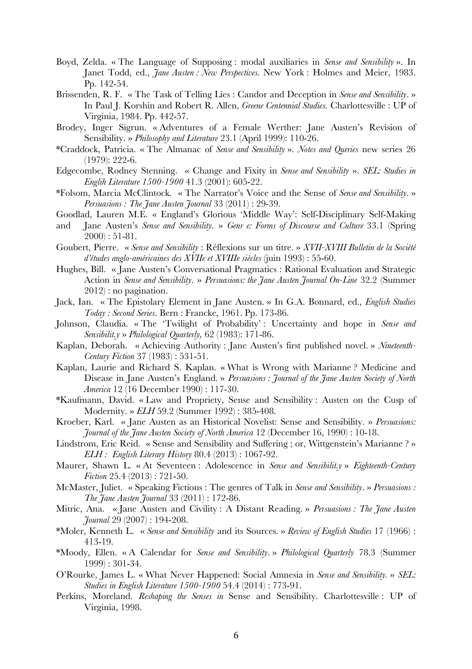- Boyd, Zelda. « The Language of Supposing : modal auxiliaries in *Sense and Sensibility* ». In Janet Todd, ed., *Jane Austen : New Perspectives*. New York : Holmes and Meier, 1983. Pp. 142-54.
- Brissenden, R. F. « The Task of Telling Lies : Candor and Deception in *Sense and Sensibility*. » In Paul J. Korshin and Robert R. Allen, *Greene Centennial Studies.* Charlottesville : UP of Virginia, 1984. Pp. 442-57.
- Brodey, Inger Sigrun. « Adventures of a Female Werther: Jane Austen's Revision of Sensibility. » *Philosophy and Literature* 23.1 (April 1999): 110-26.
- \*Craddock, Patricia. « The Almanac of *Sense and Sensibility* ». *Notes and Queries* new series 26 (1979): 222-6.
- Edgecombe, Rodney Stenning. « Change and Fixity in *Sense and Sensibility* ». *SEL: Studies in Englih Literature 1500-1900* 41.3 (2001): 605-22.
- \*Folsom, Marcia McClintock. « The Narrator's Voice and the Sense of *Sense and Sensibility*. » *Persuasions : The Jane Austen Journal* 33 (2011) : 29-39.
- Goodlad, Lauren M.E. « England's Glorious 'Middle Way': Self-Disciplinary Self-Making
- and Jane Austen's *Sense and Sensibility.* » *Genr e: Forms of Discourse and Culture* 33.1 (Spring  $2000$ ): 51-81.
- Goubert, Pierre. « *Sense and Sensibility* : Réflexions sur un titre. » *XVII-XVIII Bulletin de la Société d'études anglo-américaines des XVIIe et XVIIIe siècles* (juin 1993) : 55-60.
- Hughes, Bill. « Jane Austen's Conversational Pragmatics : Rational Evaluation and Strategic Action in *Sense and Sensibility*. » *Persuasions: the Jane Austen Journal On-Line* 32.2 (Summer 2012) : no pagination.
- Jack, Ian. « The Epistolary Element in Jane Austen. » In G.A. Bonnard, ed., *English Studies Today : Second Series*. Bern : Francke, 1961. Pp. 173-86.
- Johnson, Claudia. « The 'Twilight of Probability' : Uncertainty and hope in *Sense and Sensibilit.y* » *Philological Quarterly,* 62 (1983): 171-86.
- Kaplan, Deborah. « Achieving Authority : Jane Austen's first published novel. » *Nineteenth-Century Fiction* 37 (1983) : 531-51.
- Kaplan, Laurie and Richard S. Kaplan. « What is Wrong with Marianne ? Medicine and Disease in Jane Austen's England. » *Persuasions : Journal of the Jane Austen Society of North America* 12 (16 December 1990) : 117-30.
- \*Kaufmann, David. « Law and Propriety, Sense and Sensibility : Austen on the Cusp of Modernity. » *ELH* 59.2 (Summer 1992) : 385-408.
- Kroeber, Karl. « Jane Austen as an Historical Novelist: Sense and Sensibility. » *Persuasions: Journal of the Jane Austen Society of North America* 12 (December 16, 1990) : 10-18.
- Lindstrom, Eric Reid. « Sense and Sensibility and Suffering ; or, Wittgenstein's Marianne ? » *ELH : English Literary History* 80.4 (2013) : 1067-92.
- Maurer, Shawn L. « At Seventeen : Adolescence in *Sense and Sensibilit.y* » *Eighteenth-Century Fiction* 25.4 (2013) : 721-50.
- McMaster, Juliet. « Speaking Fictions : The genres of Talk in *Sense and Sensibility*. » *Persuasions : The Jane Austen Journal* 33 (2011) : 172-86.
- Mitric, Ana. « Jane Austen and Civility : A Distant Reading. » *Persuasions : The Jane Austen Journal* 29 (2007) : 194-208.
- \*Moler, Kenneth L. « *Sense and Sensibility* and its Sources. » *Review of English Studies* 17 (1966) : 413-19.
- \*Moody, Ellen. « A Calendar for *Sense and Sensibility*. » *Philological Quarterly* 78.3 (Summer 1999) : 301-34.
- O'Rourke, James L. « What Never Happened: Social Amnesia in *Sense and Sensibility.* » *SEL: Studies in English Literature 1500-1900* 54.4 (2014) : 773-91.
- Perkins, Moreland. *Reshaping the Senses in* Sense and Sensibility. Charlottesville : UP of Virginia, 1998.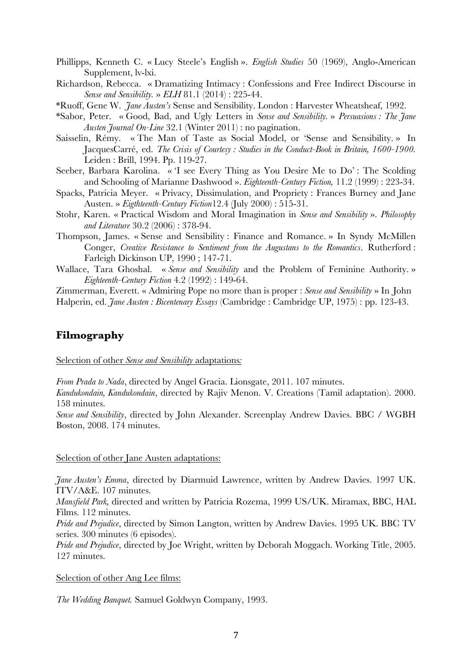- Phillipps, Kenneth C. « Lucy Steele's English ». *English Studies* 50 (1969), Anglo-American Supplement, lv-lxi.
- Richardson, Rebecca. « Dramatizing Intimacy : Confessions and Free Indirect Discourse in *Sense and Sensibility.* » *ELH* 81.1 (2014) : 225-44.
- \*Ruoff, Gene W. *Jane Austen's* Sense and Sensibility. London : Harvester Wheatsheaf, 1992.
- \*Sabor, Peter. « Good, Bad, and Ugly Letters in *Sense and Sensibility.* » *Persuasions : The Jane Austen Journal On-Line* 32.1 (Winter 2011) : no pagination.
- Saisselin, Rémy. « The Man of Taste as Social Model, or 'Sense and Sensibility. » In JacquesCarré, ed. *The Crisis of Courtesy : Studies in the Conduct-Book in Britain, 1600-1900.* Leiden : Brill, 1994. Pp. 119-27.
- Seeber, Barbara Karolina. « 'I see Every Thing as You Desire Me to Do' : The Scolding and Schooling of Marianne Dashwood ». *Eighteenth-Century Fiction,* 11.2 (1999) : 223-34.
- Spacks, Patricia Meyer. « Privacy, Dissimulation, and Propriety : Frances Burney and Jane Austen. » *Eigthteenth-Century Fiction*12.4 (July 2000) : 515-31.
- Stohr, Karen. « Practical Wisdom and Moral Imagination in *Sense and Sensibility* ». *Philosophy and Literature* 30.2 (2006) : 378-94.
- Thompson, James. « Sense and Sensibility : Finance and Romance. » In Syndy McMillen Conger, *Creative Resistance to Sentiment from the Augustans to the Romantics*. Rutherford : Farleigh Dickinson UP, 1990 ; 147-71.
- Wallace, Tara Ghoshal. « *Sense and Sensibility* and the Problem of Feminine Authority. » *Eighteenth-Century Fiction* 4.2 (1992) : 149-64.

Zimmerman, Everett. « Admiring Pope no more than is proper : *Sense and Sensibility* » In John

Halperin, ed. *Jane Austen : Bicentenary Essays* (Cambridge : Cambridge UP, 1975) : pp. 123-43.

# **Filmography**

Selection of other *Sense and Sensibility* adaptations*:* 

*From Prada to Nada*, directed by Angel Gracia. Lionsgate, 2011. 107 minutes.

*Kandukondain, Kandukondain*, directed by Rajiv Menon. V. Creations (Tamil adaptation). 2000. 158 minutes.

*Sense and Sensibility*, directed by John Alexander. Screenplay Andrew Davies. BBC / WGBH Boston, 2008. 174 minutes.

Selection of other Jane Austen adaptations:

*Jane Austen's Emma*, directed by Diarmuid Lawrence, written by Andrew Davies. 1997 UK. ITV/A&E. 107 minutes.

*Mansfield Park,* directed and written by Patricia Rozema, 1999 US/UK. Miramax, BBC, HAL Films. 112 minutes.

*Pride and Prejudice*, directed by Simon Langton, written by Andrew Davies. 1995 UK. BBC TV series. 300 minutes (6 episodes).

*Pride and Prejudice*, directed by Joe Wright, written by Deborah Moggach. Working Title, 2005. 127 minutes.

Selection of other Ang Lee films:

*The Wedding Banquet.* Samuel Goldwyn Company, 1993.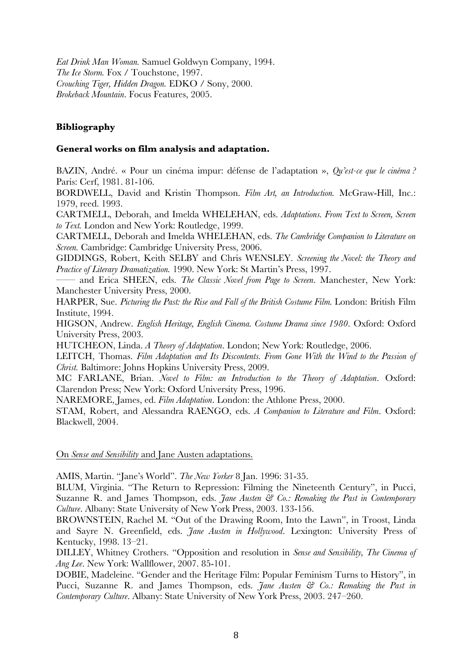*Eat Drink Man Woman.* Samuel Goldwyn Company, 1994. *The Ice Storm.* Fox / Touchstone, 1997. *Crouching Tiger, Hidden Dragon.* EDKO / Sony, 2000. *Brokeback Mountain*. Focus Features, 2005.

# **Bibliography**

# **General works on film analysis and adaptation.**

BAZIN, André. « Pour un cinéma impur: défense de l'adaptation », *Qu'est-ce que le cinéma ?* Paris: Cerf, 1981. 81-106.

BORDWELL, David and Kristin Thompson. *Film Art, an Introduction.* McGraw-Hill, Inc.: 1979, reed. 1993.

CARTMELL, Deborah, and Imelda WHELEHAN, eds. *Adaptations. From Text to Screen, Screen to Text.* London and New York: Routledge, 1999.

CARTMELL, Deborah and Imelda WHELEHAN, eds. *The Cambridge Companion to Literature on Screen.* Cambridge: Cambridge University Press, 2006.

GIDDINGS, Robert, Keith SELBY and Chris WENSLEY. *Screening the Novel: the Theory and Practice of Literary Dramatization.* 1990. New York: St Martin's Press, 1997.

—— and Erica SHEEN, eds. *The Classic Novel from Page to Screen*. Manchester, New York: Manchester University Press, 2000.

HARPER, Sue. *Picturing the Past: the Rise and Fall of the British Costume Film.* London: British Film Institute, 1994.

HIGSON, Andrew. *English Heritage, English Cinema. Costume Drama since 1980*. Oxford: Oxford University Press, 2003.

HUTCHEON, Linda. *A Theory of Adaptation*. London; New York: Routledge, 2006.

LEITCH, Thomas. *Film Adaptation and Its Discontents. From Gone With the Wind to the Passion of Christ.* Baltimore: Johns Hopkins University Press, 2009.

MC FARLANE, Brian. *Novel to Film: an Introduction to the Theory of Adaptation*. Oxford: Clarendon Press; New York: Oxford University Press, 1996.

NAREMORE, James, ed. *Film Adaptation*. London: the Athlone Press, 2000.

STAM, Robert, and Alessandra RAENGO, eds. *A Companion to Literature and Film*. Oxford: Blackwell, 2004.

On *Sense and Sensibility* and Jane Austen adaptations.

AMIS, Martin. "Jane's World". *The New Yorker* 8 Jan. 1996: 31-35.

BLUM, Virginia. "The Return to Repression: Filming the Nineteenth Century", in Pucci, Suzanne R. and James Thompson, eds. *Jane Austen & Co.: Remaking the Past in Contemporary Culture*. Albany: State University of New York Press, 2003. 133-156.

BROWNSTEIN, Rachel M. "Out of the Drawing Room, Into the Lawn", in Troost, Linda and Sayre N. Greenfield, eds. *Jane Austen in Hollywood*. Lexington: University Press of Kentucky, 1998. 13–21.

DILLEY, Whitney Crothers. "Opposition and resolution in *Sense and Sensibility, The Cinema of Ang Lee*. New York: Wallflower, 2007. 85-101.

DOBIE, Madeleine. "Gender and the Heritage Film: Popular Feminism Turns to History", in Pucci, Suzanne R. and James Thompson, eds. *Jane Austen & Co.: Remaking the Past in Contemporary Culture*. Albany: State University of New York Press, 2003. 247–260.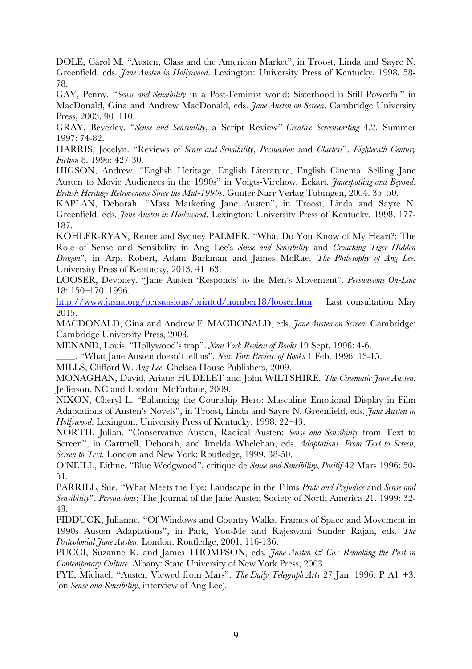DOLE, Carol M. "Austen, Class and the American Market", in Troost, Linda and Sayre N. Greenfield, eds. *Jane Austen in Hollywood*. Lexington: University Press of Kentucky, 1998. 58- 78.

GAY, Penny. "*Sense and Sensibility* in a Post-Feminist world: Sisterhood is Still Powerful" in MacDonald, Gina and Andrew MacDonald, eds. *Jane Austen on Screen*. Cambridge University Press, 2003. 90–110.

GRAY, Beverley. "*Sense and Sensibility,* a Script Review*" Creative Screenwriting* 4.2. Summer 1997: 74-82.

HARRIS, Jocelyn. "Reviews of *Sense and Sensibility*, *Persuasion* and *Clueless*". *Eighteenth Century Fiction* 8. 1996: 427-30.

HIGSON, Andrew. "English Heritage, English Literature, English Cinema: Selling Jane Austen to Movie Audiences in the 1990s" in Voigts-Virchow, Eckart. *Janespotting and Beyond: British Heritage Retrovisions Since the Mid-1990s*. Gunter Narr Verlag Tubingen, 2004. 35–50.

KAPLAN, Deborah. "Mass Marketing Jane Austen", in Troost, Linda and Sayre N. Greenfield, eds. *Jane Austen in Hollywood*. Lexington: University Press of Kentucky, 1998. 177- 187.

KOHLER-RYAN, Renee and Sydney PALMER. "What Do You Know of My Heart?: The Role of Sense and Sensibility in Ang Lee's *Sense and Sensibility* and *Crouching Tiger Hidden Dragon*", in Arp, Robert, Adam Barkman and James McRae. *The Philosophy of Ang Lee*. University Press of Kentucky, 2013. 41–63.

LOOSER, Devoney. "Jane Austen 'Responds' to the Men's Movement". *Persuasions On-Line* 18: 150–170. 1996.

http://www.jasna.org/persuasions/printed/number18/looser.htm Last consultation May 2015.

MACDONALD, Gina and Andrew F. MACDONALD, eds. *Jane Austen on Screen*. Cambridge: Cambridge University Press, 2003.

MENAND, Louis. "Hollywood's trap". *New York Review of Books* 19 Sept. 1996: 4-6.

\_\_\_\_. "What Jane Austen doesn't tell us". *New York Review of Books* 1 Feb. 1996: 13-15.

MILLS, Clifford W. *Ang Lee*. Chelsea House Publishers, 2009.

MONAGHAN, David, Ariane HUDELET and John WILTSHIRE. *The Cinematic Jane Austen.*  Jefferson, NC and London: McFarlane, 2009.

NIXON, Cheryl L. "Balancing the Courtship Hero: Masculine Emotional Display in Film Adaptations of Austen's Novels", in Troost, Linda and Sayre N. Greenfield, eds. *Jane Austen in Hollywood*. Lexington: University Press of Kentucky, 1998. 22–43.

NORTH, Julian. "Conservative Austen, Radical Austen: *Sense and Sensibility* from Text to Screen", in Cartmell, Deborah, and Imelda Whelehan, eds. *Adaptations. From Text to Screen, Screen to Text.* London and New York: Routledge, 1999. 38-50.

O'NEILL, Eithne. "Blue Wedgwood", critique de *Sense and Sensibility*, *Positif* 42 Mars 1996: 50- 51.

PARRILL, Sue. "What Meets the Eye: Landscape in the Films *Pride and Prejudice* and *Sense and Sensibility*". *Persuasions*; The Journal of the Jane Austen Society of North America 21. 1999: 32- 43.

PIDDUCK, Julianne. "Of Windows and Country Walks. Frames of Space and Movement in 1990s Austen Adaptations", in Park, You-Me and Rajeswani Sunder Rajan, eds. *The Postcolonial Jane Austen*. London: Routledge, 2001. 116-136.

PUCCI, Suzanne R. and James THOMPSON, eds. *Jane Austen & Co.: Remaking the Past in Contemporary Culture*. Albany: State University of New York Press, 2003.

PYE, Michael. "Austen Viewed from Mars". *The Daily Telegraph Arts* 27 Jan. 1996: P A1 +3. (on *Sense and Sensibility*, interview of Ang Lee).